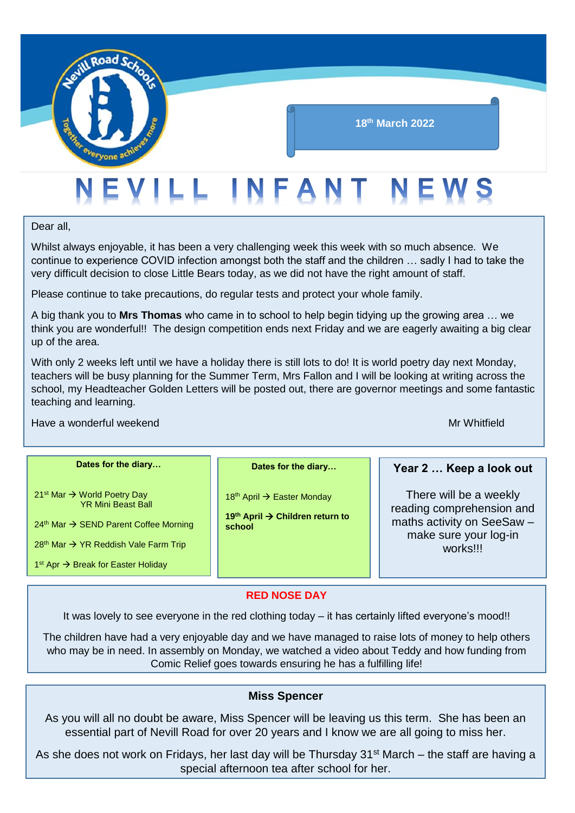

#### **18th March 2022**

# EVILL INFANT NEWS

Dear all,

Whilst always enjoyable, it has been a very challenging week this week with so much absence. We continue to experience COVID infection amongst both the staff and the children … sadly I had to take the very difficult decision to close Little Bears today, as we did not have the right amount of staff.

Please continue to take precautions, do regular tests and protect your whole family.

A big thank you to **Mrs Thomas** who came in to school to help begin tidying up the growing area … we think you are wonderful!! The design competition ends next Friday and we are eagerly awaiting a big clear up of the area.

With only 2 weeks left until we have a holiday there is still lots to do! It is world poetry day next Monday, teachers will be busy planning for the Summer Term, Mrs Fallon and I will be looking at writing across the school, my Headteacher Golden Letters will be posted out, there are governor meetings and some fantastic teaching and learning.

#### Have a wonderful weekend Mr Whitfield Mr Whitfield

| Dates for the diary                                                                                                                                                                                                                 | Dates for the diary                                                                                         | Year 2  Keep a look out                                                                                                |
|-------------------------------------------------------------------------------------------------------------------------------------------------------------------------------------------------------------------------------------|-------------------------------------------------------------------------------------------------------------|------------------------------------------------------------------------------------------------------------------------|
| $21st$ Mar $\rightarrow$ World Poetry Day<br><b>YR Mini Beast Ball</b><br>24 <sup>th</sup> Mar → SEND Parent Coffee Morning<br>28 <sup>th</sup> Mar → YR Reddish Vale Farm Trip<br>$1st$ Apr $\rightarrow$ Break for Easter Holiday | 18 <sup>th</sup> April $\rightarrow$ Easter Monday<br>19 <sup>th</sup> April → Children return to<br>school | There will be a weekly<br>reading comprehension and<br>maths activity on SeeSaw -<br>make sure your log-in<br>works!!! |

#### **RED NOSE DAY**

It was lovely to see everyone in the red clothing today – it has certainly lifted everyone's mood!!

The children have had a very enjoyable day and we have managed to raise lots of money to help others who may be in need. In assembly on Monday, we watched a video about Teddy and how funding from Comic Relief goes towards ensuring he has a fulfilling life!

#### **Miss Spencer**

As you will all no doubt be aware, Miss Spencer will be leaving us this term. She has been an essential part of Nevill Road for over 20 years and I know we are all going to miss her.

As she does not work on Fridays, her last day will be Thursday 31<sup>st</sup> March – the staff are having a special afternoon tea after school for her.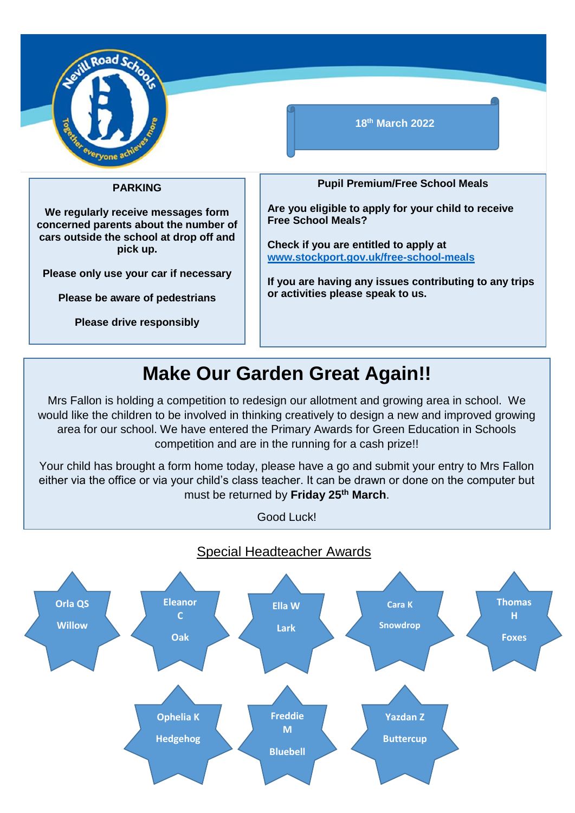

#### **18th March 2022**

#### **PARKING**

**We regularly receive messages form concerned parents about the number of cars outside the school at drop off and pick up.**

**Please only use your car if necessary**

**Please be aware of pedestrians**

**Please drive responsibly**

**Pupil Premium/Free School Meals**

**Are you eligible to apply for your child to receive Free School Meals?** 

**Check if you are entitled to apply at [www.stockport.gov.uk/free-school-meals](http://www.stockport.gov.uk/free-school-meals)**

**If you are having any issues contributing to any trips or activities please speak to us.** 

### **Make Our Garden Great Again!!**

Mrs Fallon is holding a competition to redesign our allotment and growing area in school. We would like the children to be involved in thinking creatively to design a new and improved growing area for our school. We have entered the Primary Awards for Green Education in Schools competition and are in the running for a cash prize!!

Your child has brought a form home today, please have a go and submit your entry to Mrs Fallon either via the office or via your child's class teacher. It can be drawn or done on the computer but must be returned by **Friday 25th March**.

Good Luck!

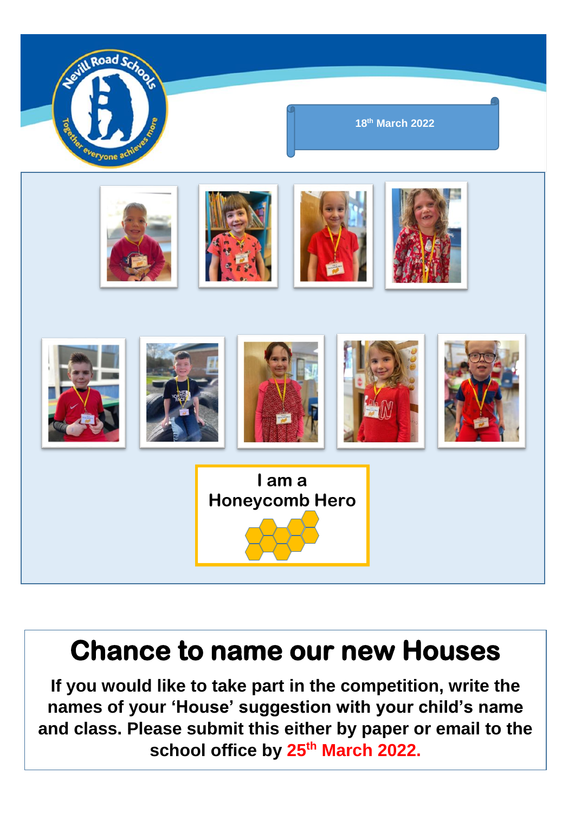

## **Chance to name our new Houses**

**If you would like to take part in the competition, write the names of your 'House' suggestion with your child's name and class. Please submit this either by paper or email to the**